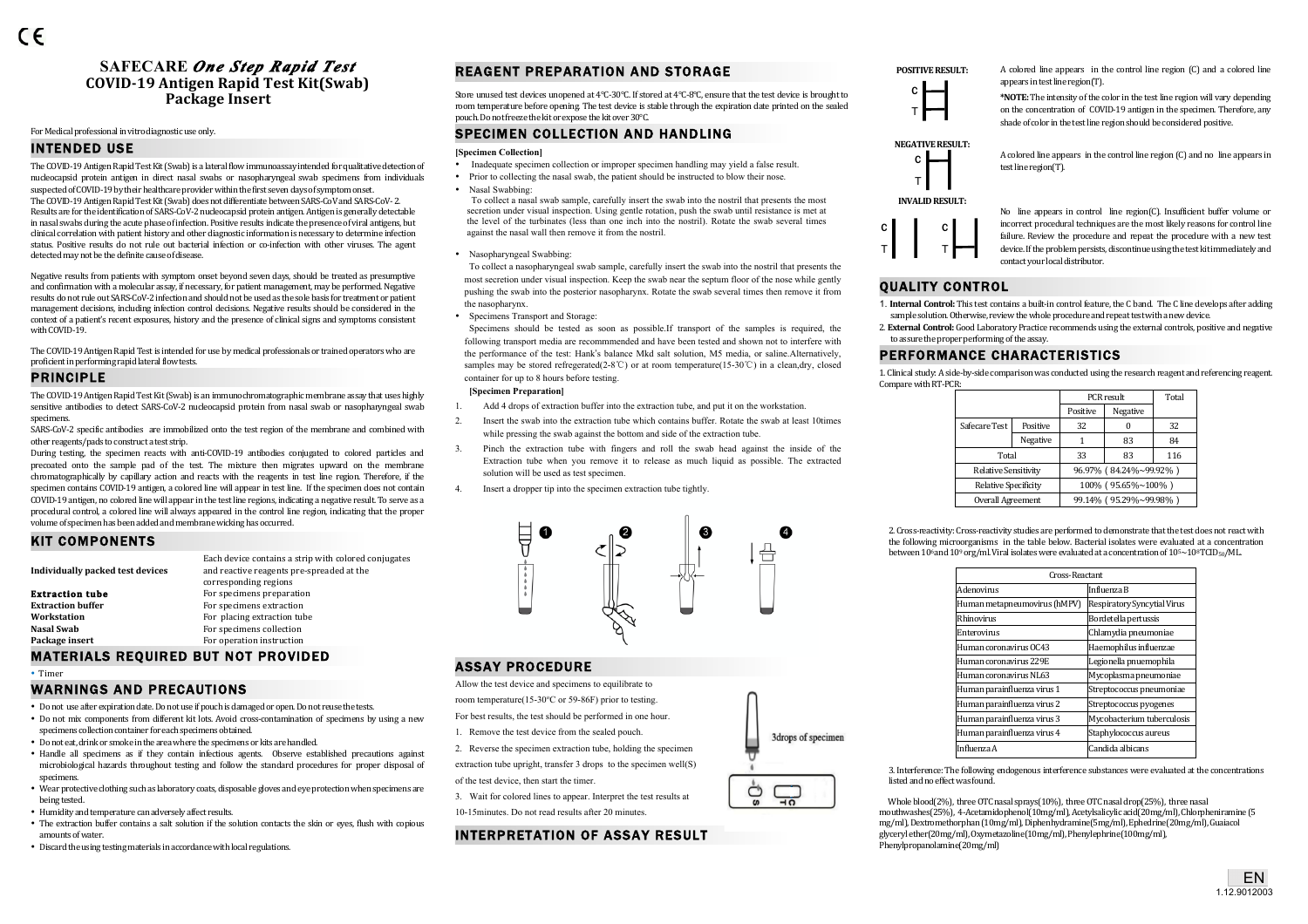# **SAFECARE** *One Step Rapid Test*  **COVID-19 Antigen Rapid Test Kit(Swab) Package Insert**

#### For Medical professional in vitro diagnostic use only.

# INTENDED USE

The COVID-19 Antigen Rapid Test Kit (Swab) is a lateral flow immunoassay intended for qualitative detection of nucleocapsid protein antigen in direct nasal swabs or nasopharyngeal swab specimens from individuals suspected of COVID-19 by their healthcare provider within the first seven days of symptom onset. The COVID-19 Antigen Rapid Test Kit (Swab) does not differentiate between SARS-CoV and SARS-CoV-2. Results are for the identification of SARS-CoV-2 nucleocapsid protein antigen. Antigen is generally detectable in nasal swabs during the acute phase of infection. Positive results indicate the presence of viral antigens, but clinical correlation with patient history and other diagnostic information is necessary to determine infection status. Positive results do not rule out bacterial infection or co-infection with other viruses. The agent detected may not be the definite cause of disease.

Negative results from patients with symptom onset beyond seven days, should be treated as presumptive and confirmation with a molecular assay, if necessary, for patient management, may be performed. Negative results do not rule out SARS-CoV-2 infection and should not be used as the sole basis for treatment or patient management decisions, including infection control decisions. Negative results should be considered in the context of a patient's recent exposures, history and the presence of clinical signs and symptoms consistent with COVID-19

The COVID-19 Antigen Rapid Test is intended for use by medical professionals or trained operators who are proficient in performing rapid lateral flow tests.

### PRINCIPLE

The COVID-19 Antigen Rapid Test Kit (Swab) is an immunochromatographic membrane assay that uses highly sensitive antibodies to detect SARS-CoV-2 nucleocapsid protein from nasal swab or nasopharyngeal swab specimens. 

SARS-CoV-2 specific antibodies are immobilized onto the test region of the membrane and combined with other reagents/pads to construct a test strip.

During testing, the specimen reacts with anti-COVID-19 antibodies conjugated to colored particles and precoated onto the sample pad of the test. The mixture then migrates upward on the membrane chromatographically by capillary action and reacts with the reagents in test line region. Therefore, if the specimen contains COVID-19 antigen, a colored line will appear in test line. If the specimen does not contain COVID-19 antigen, no colored line will appear in the test line regions, indicating a negative result. To serve as a procedural control, a colored line will always appeared in the control line region, indicating that the proper volume of specimen has been added and membrane wicking has occurred.

# KIT COMPONENTS

| Individually packed test devices | Each device contains a strip with colored conjugates<br>and reactive reagents pre-spreaded at the |
|----------------------------------|---------------------------------------------------------------------------------------------------|
|                                  | corresponding regions                                                                             |
| <b>Extraction tube</b>           | For specimens preparation                                                                         |
| <b>Extraction buffer</b>         | For specimens extraction                                                                          |
| Workstation                      | For placing extraction tube                                                                       |
| Nasal Swab                       | For specimens collection                                                                          |
| Package insert                   | For operation instruction                                                                         |
|                                  |                                                                                                   |

# MATERIALS REQUIRED BUT NOT PROVIDED

• Timer

# WARNINGS AND PRECAUTIONS

- Do not use after expiration date. Do not use if pouch is damaged or open. Do not reuse the tests.
- Do not mix components from different kit lots. Avoid cross-contamination of specimens by using a new specimens collection container for each specimens obtained.
- Do not eat, drink or smoke in the area where the specimens or kits are handled.
- Handle all specimens as if they contain infectious agents. Observe established precautions against microbiological hazards throughout testing and follow the standard procedures for proper disposal of specimens.
- Wear protective clothing such as laboratory coats, disposable gloves and eye protection when specimens are being tested.
- Humidity and temperature can adversely affect results.
- The extraction buffer contains a salt solution if the solution contacts the skin or eyes, flush with copious amounts of water.
- Discard the using testing materials in accordance with local regulations.

# REAGENT PREPARATION AND STORAGE

Store unused test devices unopened at 4°C-30°C. If stored at 4°C-8°C, ensure that the test device is brought to room temperature before opening. The test device is stable through the expiration date printed on the sealed pouch. Do not freeze the kit or expose the kit over 30°C.

# SPECIMEN COLLECTION AND HANDLING

#### **[Specimen Collection]**

- Inadequate specimen collection or improper specimen handling may yield a false result.
- Prior to collecting the nasal swab, the patient should be instructed to blow their nose.
- Nasal Swabbing:

To collect a nasal swab sample, carefully insert the swab into the nostril that presents the most secretion under visual inspection. Using gentle rotation, push the swab until resistance is met at the level of the turbinates (less than one inch into the nostril). Rotate the swab several times against the nasal wall then remove it from the nostril.

• Nasopharyngeal Swabbing:

To collect a nasopharyngeal swab sample, carefully insert the swab into the nostril that presents the most secretion under visual inspection. Keep the swab near the septum floor of the nose while gently pushing the swab into the posterior nasopharynx. Rotate the swab several times then remove it from the nasopharynx.

• Specimens Transport and Storage:

Specimens should be tested as soon as possible.If transport of the samples is required, the following transport media are recommmended and have been tested and shown not to interfere with the performance of the test: Hank's balance Mkd salt solution, M5 media, or saline.Alternatively, samples may be stored refregerated(2-8°C) or at room temperature(15-30°C) in a clean,dry, closed container for up to 8 hours before testing.

#### **[Specimen Preparation]**

- 1. Add 4 drops of extraction buffer into the extraction tube, and put it on the workstation.
- 2. Insert the swab into the extraction tube which contains buffer. Rotate the swab at least 10times while pressing the swab against the bottom and side of the extraction tube.
- 3. Pinch the extraction tube with fingers and roll the swab head against the inside of the Extraction tube when you remove it to release as much liquid as possible. The extracted solution will be used as test specimen.
- 4. Insert a dropper tip into the specimen extraction tube tightly.



# ASSAY PROCEDURE

Allow the test device and specimens to equilibrate to

- room temperature(15-30°C or 59-86F) prior to testing.
- For best results, the test should be performed in one hour.
- 1. Remove the test device from the sealed pouch.
- 2. Reverse the specimen extraction tube, holding the specimen extraction tube upright, transfer 3 drops to the specimen well(S)
- of the test device, then start the timer.
- 3. Wait for colored lines to appear. Interpret the test results at
- 10-15minutes. Do not read results after 20 minutes.

# INTERPRETATION OF ASSAY RESULT





**POSITIVE RESULT:** A colored line appears in the control line region (C) and a colored line appears in test line region(T).

> \*NOTE: The intensity of the color in the test line region will vary depending on the concentration of COVID-19 antigen in the specimen. Therefore, any shade of color in the test line region should be considered positive.

> A colored line appears in the control line region (C) and no line appears in



No line appears in control line region(C). Insufficient buffer volume or incorrect procedural techniques are the most likely reasons for control line failure. Review the procedure and repeat the procedure with a new test device. If the problem persists, discontinue using the test kit immediately and contact your local distributor.

# QUALITY CONTROL

C T

I

C T

3drops of specimen

ᆩ

O

- 1. **Internal Control:** This test contains a built-in control feature, the C band. The C line develops after adding sample solution. Otherwise, review the whole procedure and repeat test with a new device.
- 2. **External Control:** Good Laboratory Practice recommends using the external controls, positive and negative to assure the proper performing of the assay.

# PERFORMANCE CHARACTERISTICS

test line region(T)

1. Clinical study: A side-by-side comparison was conducted using the research reagent and referencing reagent. Compare with RT-PCR:

|                             |          | PCR result         |                        | Total |
|-----------------------------|----------|--------------------|------------------------|-------|
|                             |          | Positive           | Negative               |       |
| Safecare Test               | Positive | 32                 |                        | 32    |
|                             | Negative |                    | 83                     | 84    |
| Total                       |          | 33                 | 83                     | 116   |
| <b>Relative Sensitivity</b> |          |                    | 96.97% (84.24%~99.92%) |       |
| <b>Relative Specificity</b> |          | 100% (95.65%~100%) |                        |       |
| Overall Agreement           |          |                    | 99.14% (95.29%~99.98%) |       |

2. Cross-reactivity: Cross-reactivity studies are performed to demonstrate that the test does not react with the following microorganisms in the table below. Bacterial isolates were evaluated at a concentration between  $10^6$  and  $10^9$  org/ml. Viral isolates were evaluated at a concentration of  $10^5 \sim 10^8 \text{TCID}_{50}/\text{ML}$ .

| Cross-Reactant                     |  |  |
|------------------------------------|--|--|
| Influenza B                        |  |  |
| <b>Respiratory Syncytial Virus</b> |  |  |
| Bordetella pertussis               |  |  |
| Chlamydia pneumoniae               |  |  |
| Haemophilus influenzae             |  |  |
| Legionella pnuemophila             |  |  |
| Mycoplasma pneumoniae              |  |  |
| Streptococcus pneumoniae           |  |  |
| Streptococcus pyogenes             |  |  |
| Mycobacterium tuberculosis         |  |  |
| Staphylococcus aureus              |  |  |
| Candida albicans                   |  |  |
|                                    |  |  |

3. Interference: The following endogenous interference substances were evaluated at the concentrations listed and no effect was found.

Whole blood(2%), three OTC nasal sprays(10%), three OTC nasal drop(25%), three nasal mouthwashes(25%), 4-Acetamidophenol(10mg/ml), Acetylsalicylic acid(20mg/ml), Chlorpheniramine (5 mg/ml), Dextromethorphan (10mg/ml), Diphenhydramine(5mg/ml), Ephedrine(20mg/ml), Guaiacol glyceryl ether(20mg/ml), Oxymetazoline(10mg/ml), Phenylephrine(100mg/ml), Phenylpropanolamine(20mg/ml) 

**NEGATIVE RESULT:**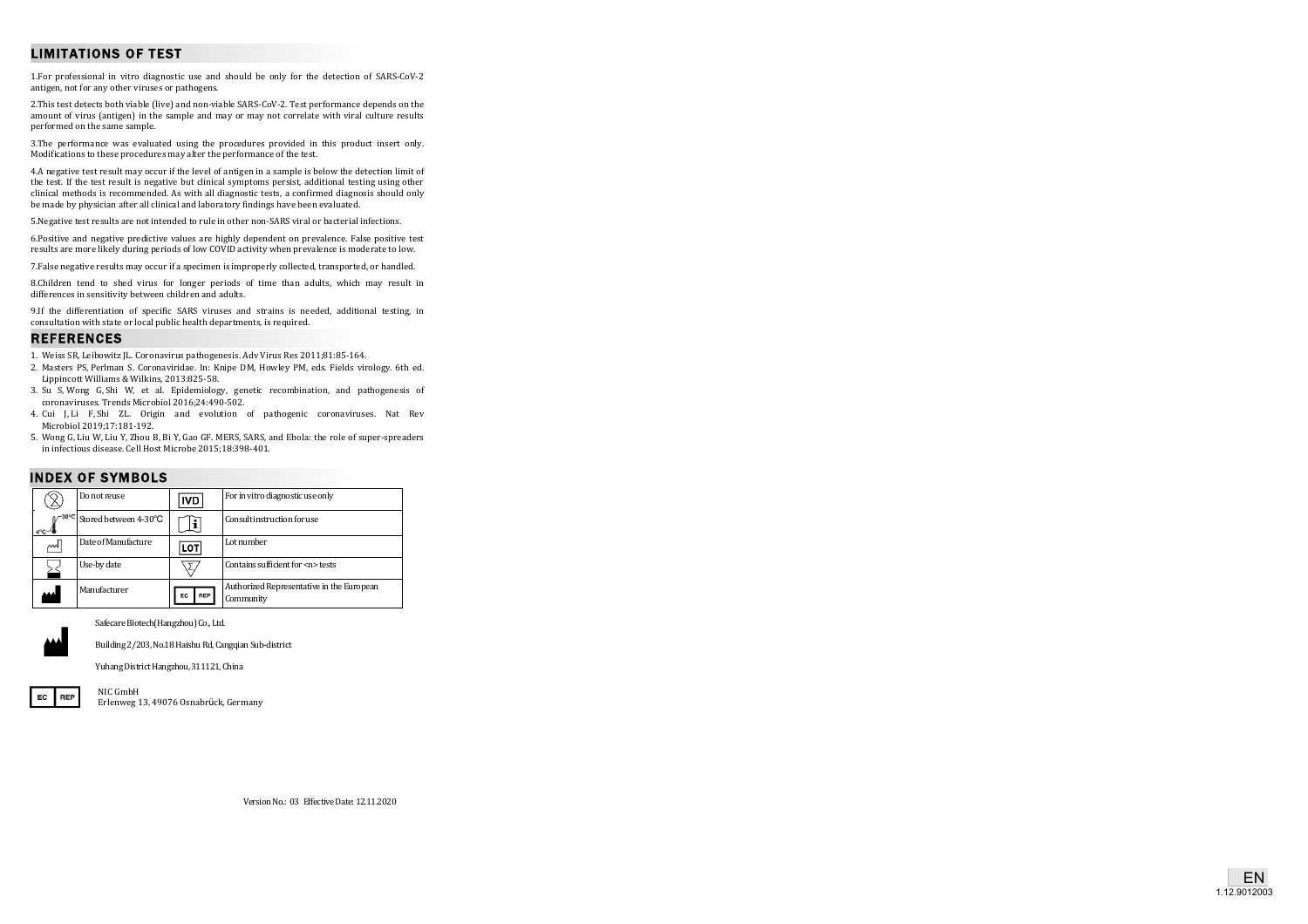# LIMITATIONS OF TEST

1. For professional in vitro diagnostic use and should be only for the detection of SARS-CoV-2 antigen, not for any other viruses or pathogens.

2. This test detects both viable (live) and non-viable SARS-CoV-2. Test performance depends on the amount of virus (antigen) in the sample and may or may not correlate with viral culture results performed on the same sample.

3.The performance was evaluated using the procedures provided in this product insert only. Modifications to these procedures may alter the performance of the test.

4.A negative test result may occur if the level of antigen in a sample is below the detection limit of the test. If the test result is negative but clinical symptoms persist, additional testing using other clinical methods is recommended. As with all diagnostic tests, a confirmed diagnosis should only be made by physician after all clinical and laboratory findings have been evaluated.

5. Negative test results are not intended to rule in other non-SARS viral or bacterial infections.

6.Positive and negative predictive values are highly dependent on prevalence. False positive test results are more likely during periods of low COVID activity when prevalence is moderate to low.

7. False negative results may occur if a specimen is improperly collected, transported, or handled.

8.Children tend to shed virus for longer periods of time than adults, which may result in differences in sensitivity between children and adults.

9.If the differentiation of specific SARS viruses and strains is needed, additional testing, in consultation with state or local public health departments, is required.

### REFERENCES

1. Weiss SR, Leibowitz JL. Coronavirus pathogenesis. Adv Virus Res 2011;81:85-164.

- 2. Masters PS, Perlman S. Coronaviridae. In: Knipe DM, Howley PM, eds. Fields virology. 6th ed. Lippincott Williams & Wilkins, 2013:825-58.
- 3. Su S, Wong G, Shi W, et al. Epidemiology, genetic recombination, and pathogenesis of coronaviruses. Trends Microbiol 2016;24:490 -502.
- 4. Cui J, Li F, Shi ZL. Origin and evolution of pathogenic coronaviruses. Nat Rev Microbiol 2019;17:181 -192.
- 5. Wong G, Liu W, Liu Y, Zhou B, Bi Y, Gao GF. MERS, SARS, and Ebola: the role of super-spreaders in infectious disease. Cell Host Microbe 2015;18:398-401.

## INDEX OF SYMBOLS

|                                      | Do not reuse          | IVD       | For in vitro diagnostic use only                       |
|--------------------------------------|-----------------------|-----------|--------------------------------------------------------|
| $-30^{\circ}$ C<br>$4^{\circ}$ c $-$ | Stored between 4-30°C |           | Consult instruction for use                            |
| ୷                                    | Date of Manufacture   | LOT       | Lot number                                             |
|                                      | Use-by date           | Σ,        | Contains sufficient for <n> tests</n>                  |
| لمه                                  | Manufacturer          | REP<br>EC | Authorized Representative in the European<br>Community |

#### Safecare Biotech(Hangzhou) Co., Ltd.



Building 2/203, No.18 Haishu Rd, Cangqian Sub-district

Yuhang District Hangzhou, 311121, China



Erlenweg 13, 49076 Osnabrück, Germany NIC GmbH

Version No.: 03 Effective Date: 12.11.2020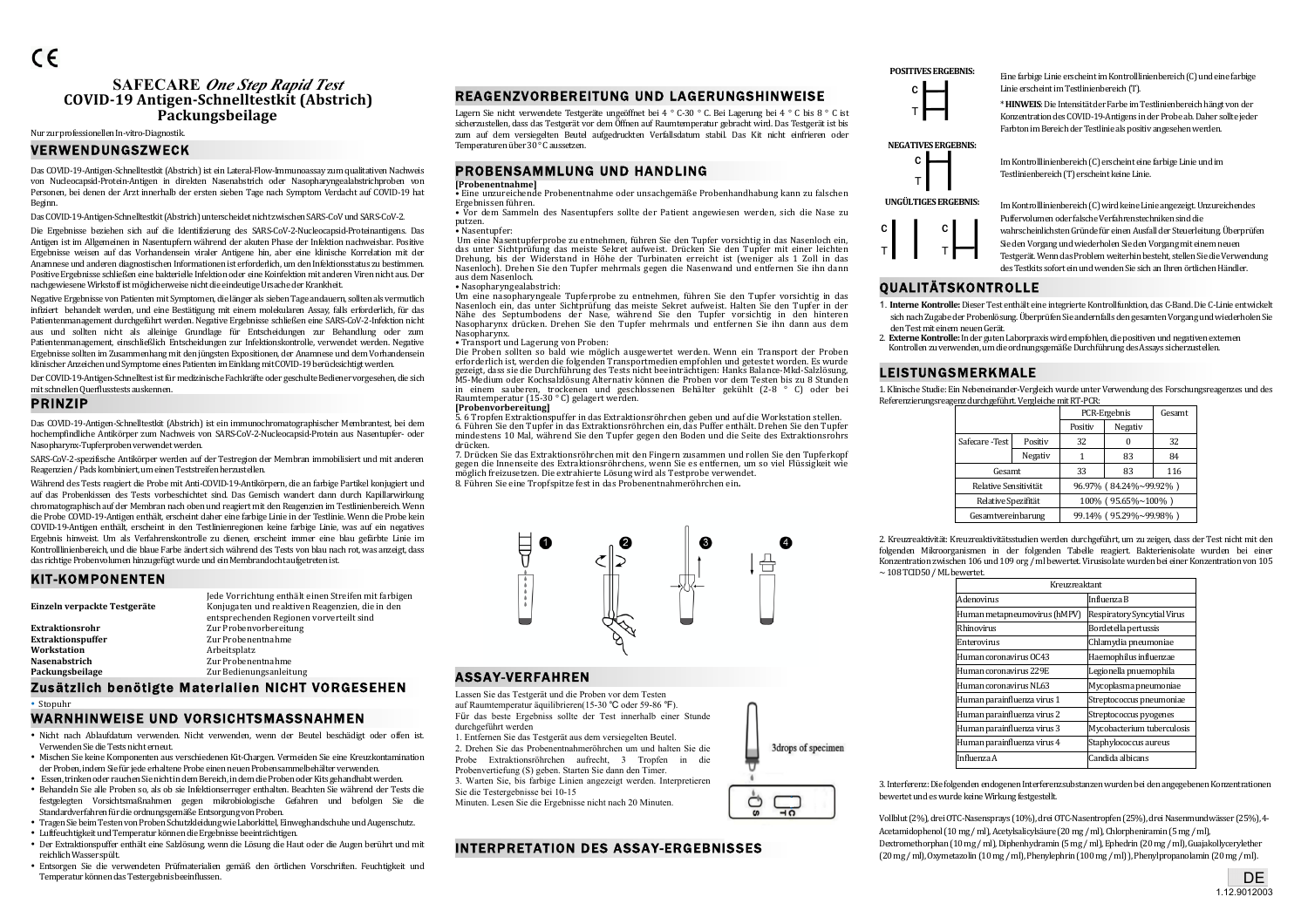# **SAFECARE** *One Step Rapid Test* **COVID-19 Antigen-Schnelltestkit (Abstrich)** Packungsbeilage

# Nur zur professionellen In-vitro-Diagnostik

# VERWENDUNGSZWECK

Das COVID-19-Antigen-Schnelltestkit (Abstrich) ist ein Lateral-Flow-Immunoassay zum qualitativen Nachweis von Nucleocapsid-Protein-Antigen in direkten Nasenabstrich oder Nasopharyngealabstrichproben von Personen, bei denen der Arzt innerhalb der ersten sieben Tage nach Symptom Verdacht auf COVID-19 hat Beginn.

Das COVID-19-Antigen-Schnelltestkit (Abstrich) unterscheidet nicht zwischen SARS-CoV und SARS-CoV-2.

Die Ergebnisse beziehen sich auf die Identifizierung des SARS-CoV-2-Nucleocapsid-Proteinantigens. Das Antigen ist im Allgemeinen in Nasentupfern während der akuten Phase der Infektion nachweisbar. Positive Ergebnisse weisen auf das Vorhandensein viraler Antigene hin, aber eine klinische Korrelation mit der Anamnese und anderen diagnostischen Informationen ist erforderlich, um den Infektionsstatus zu bestimmen. Positive Ergebnisse schließen eine bakterielle Infektion oder eine Koinfektion mit anderen Viren nicht aus. Der nachgewiesene Wirkstoff ist möglicherweise nicht die eindeutige Ursache der Krankheit.

Negative Ergebnisse von Patienten mit Symptomen, die länger als sieben Tage andauern, sollten als vermutlich infiziert behandelt werden, und eine Bestätigung mit einem molekularen Assay, falls erforderlich, für das Patientenmanagement durchgeführt werden. Negative Ergebnisse schließen eine SARS-CoV-2-Infektion nicht aus und sollten nicht als alleinige Grundlage für Entscheidungen zur Behandlung oder zum Patientenmanagement, einschließlich Entscheidungen zur Infektionskontrolle, verwendet werden. Negative Ergebnisse sollten im Zusammenhang mit den jüngsten Expositionen, der Anamnese und dem Vorhandensein klinischer Anzeichen und Symptome eines Patienten im Einklang mit COVID-19 berücksichtigt werden.

Der COVID-19-Antigen-Schnelltest ist für medizinische Fachkräfte oder geschulte Bediener vorgesehen, die sich mit schnellen Querflusstests auskennen.

#### PRINZIP

Das COVID-19-Antigen-Schnelltestkit (Abstrich) ist ein immunochromatographischer Membrantest, bei dem hochempfindliche Antikörper zum Nachweis von SARS-CoV-2-Nucleocapsid-Protein aus Nasentupfer- oder Nasopharynx-Tupferproben verwendet werden.

SARS-CoV-2-spezifische Antikörper werden auf der Testregion der Membran immobilisiert und mit anderen Reagenzien / Pads kombiniert, um einen Teststreifen herzustellen.

Während des Tests reagiert die Probe mit Anti-COVID-19-Antikörpern, die an farbige Partikel konjugiert und auf das Probenkissen des Tests vorbeschichtet sind. Das Gemisch wandert dann durch Kapillarwirkung chromatographisch auf der Membran nach oben und reagiert mit den Reagenzien im Testlinienbereich. Wenn die Probe COVID-19-Antigen enthält, erscheint daher eine farbige Linie in der Testlinie. Wenn die Probe kein COVID-19-Antigen enthält, erscheint in den Testlinienregionen keine farbige Linie, was auf ein negatives Ergebnis hinweist. Um als Verfahrenskontrolle zu dienen, erscheint immer eine blau gefärbte Linie im Kontrolllinienbereich, und die blaue Farbe ändert sich während des Tests von blau nach rot, was anzeigt, dass das richtige Probenvolumen hinzugefügt wurde und ein Membrandocht aufgetreten ist.

### KIT-KOMPONENTEN

|                              | Jede Vorrichtung enthält einen Streifen mit farbigen |
|------------------------------|------------------------------------------------------|
| Einzeln verpackte Testgeräte | Konjugaten und reaktiven Reagenzien, die in den      |
|                              | entsprechenden Regionen vorverteilt sind             |
| <b>Extraktionsrohr</b>       | Zur Probenvorbereitung                               |
| <b>Extraktionspuffer</b>     | Zur Probenentnahme                                   |
| Workstation                  | Arbeitsplatz                                         |
| Nasenabstrich                | Zur Probenentnahme                                   |
| Packungsbeilage              | Zur Bedienungsanleitung                              |

# Zusätzlich benötigte Materialien NICHT VORGESEHEN

• Stopuhr

# WARNHINWEISE UND VORSICHTSMASSNAHMEN

- Nicht nach Ablaufdatum verwenden. Nicht verwenden, wenn der Beutel beschädigt oder offen ist. Verwenden Sie die Tests nicht erneut.
- Mischen Sie keine Komponenten aus verschiedenen Kit-Chargen. Vermeiden Sie eine Kreuzkontamination der Proben, indem Sie für jede erhaltene Probe einen neuen Probensammelbehälter verwenden.
- Essen, trinken oder rauchen Sie nicht in dem Bereich, in dem die Proben oder Kits gehandhabt werden.
- Behandeln Sie alle Proben so, als ob sie Infektionserreger enthalten. Beachten Sie während der Tests die festgelegten Vorsichtsmaßnahmen gegen mikrobiologische Gefahren und befolgen Sie die Standardverfahren für die ordnungsgemäße Entsorgung von Proben.
- Tragen Sie beim Testen von Proben Schutzkleidung wie Laborkittel. Einweghandschuhe und Augenschutz.
- Luftfeuchtigkeit und Temperatur können die Ergebnisse beeinträchtigen.
- Der Extraktionspuffer enthält eine Salzlösung, wenn die Lösung die Haut oder die Augen berührt und mit reichlich Wasser spült.
- Entsorgen Sie die verwendeten Prüfmaterialien gemäß den örtlichen Vorschriften. Feuchtigkeit und Temperatur können das Testergebnis beeinflussen.

# REAGENZVORBEREITUNG UND LAGERUNGSHINWEISE

Lagern Sie nicht verwendete Testgeräte ungeöffnet bei 4<sup>°</sup> C-30<sup>°</sup> C. Bei Lagerung bei 4<sup>°</sup> C bis 8<sup>°</sup> C ist sicherzustellen, dass das Testgerät vor dem Öffnen auf Raumtemperatur gebracht wird. Das Testgerät ist bis zum auf dem versiegelten Beutel aufgedruckten Verfallsdatum stabil. Das Kit nicht einfrieren oder Temperaturen über 30<sup>°</sup> C aussetzen.

## PROBENSAMMLUNG UND HANDLING

#### **[Probenentnahme]**

• Eine unzureichende Probenentnahme oder unsachgemäße Probenhandhabung kann zu falschen<br>Ergebnissen führen.

• Vor dem Sammeln des Nasentupfers sollte der Patient angewiesen werden, sich die Nase zu putzen.

#### • Nasentupfer:

Um eine Nasentupferprobe zu entnehmen, führen Sie den Tupfer vorsichtig in das Nasenloch ein, das unter Sichtprüfung das meiste Sekret aufweist. Drücken Sie den Tupfer mit einer leichten Drehung, bis der Widerstand in Höhe der Turbinaten erreicht ist (weniger als 1 Zoll in das Nasenloch). Drehen Sie den Tupfer mehrmals gegen die Nasenwand und entfernen Sie ihn dann aus dem Nasenloch.

#### • Nasopharyngealabstrich:

Um eine nasopharyngeale Tupferprobe zu entnehmen, führen Sie den Tupfer vorsichtig in das Nasenloch ein, das unter Sichtprüfung das meiste Sekret aufweist. Halten Sie den Tupfer in der<br>Nähe des Septumbodens der Nase, während Sie den Tupfer vorsichtig in den hinteren Nasopharynx drücken. Drehen Sie den Tupfer mehrmals und entfernen Sie ihn dann aus dem Nasopharynx.

• Transport und Lagerung von Proben:<br>• Transport und Lagerung von Proben:<br>Die Proben sollten so bald wie möglich ausgewertet werden. Wenn ein Transport der Proben erforderlich ist, werden die folgenden Transportmedien empfohlen und getestet worden. Es wurde<br>gezeigt, dass sie die Durchführung des Tests nicht beeinträchtigen: Hanks Balance-Mkd-Salzlösung. M5-Medium oder Kochsalzlösung Alternativ können die Proben vor dem Testen bis zu 8 Stunden in einem sauberen, trockenen und geschlossenen Behälter gekühlt (2-8 ° C) oder bei Raumtemperatur (15-30 °C) gelagert werden.

**[Probenvorbereitung]** 5. G. Tropien Extraktionsputter in das Extraktionsröhrchen ein, das Puffer enthält. Drehen Sie den Tupfer mindestens 10 Mal, während Sie den Tupfer gegen den Boden und die Seite des Extraktionsrohrs

drücken. 7. Drücken Sie das Extraktionsröhrchen mit den Fingern zusammen und rollen Sie den Tupferkopf gegen die Innenseite des Extraktionsröhrchens, wenn Sie es entfernen, um so viel Flüssigkeit wie möglich freizusetzen. Die extrahierte Lösung wird als Testprobe verwendet. 8. Führen Sie eine Tropfspitze fest in das Probenentnahmeröhrchen ein**.**



# ASSAY-VERFAHREN

Lassen Sie das Testgerät und die Proben vor dem Testen auf Raumtemperatur äquilibrieren(15-30 ℃ oder 59-86 ℉). Für das beste Ergebniss sollte der Test innerhalb einer Stunde durchgeführt werden

1. Entfernen Sie das Testgerät aus dem versiegelten Beutel. 2. Drehen Sie das Probenentnahmeröhrchen um und halten Sie die Probe Extraktionsröhrchen aufrecht, 3 Tropfen in die Probenvertiefung (S) geben. Starten Sie dann den Timer. 3. Warten Sie, bis farbige Linien angezeigt werden. Interpretieren

Sie die Testergebnisse bei 10-15

Minuten. Lesen Sie die Ergebnisse nicht nach 20 Minuten.

# INTERPRETATION DES ASSAY-ERGEBNISSES



**POSITIVES ERGEBNIS:** Eine farbige Linie erscheint im Kontrolllinienbereich (C) und eine farbige Linie erscheint im Testlinienbereich (T).

> \***HINWEIS**: Die Intensität der Farbe im Testlinienbereich hängt von der Konzentration des COVID-19-Antigens in der Probe ab. Daher sollte jeder Farbton im Bereich der Testlinie als positiv angesehen werden.

# **NEGATIVES ERGEBNIS:**



T

I

C T Im Kontrolllinienbereich (C) wird keine Linie angezeigt. Unzureichendes Puffervolumen oder falsche Verfahrenstechniken sind die wahrscheinlichsten Gründe für einen Ausfall der Steuerleitung. Überprüfen

Im Kontrolllinienbereich (C) erscheint eine farbige Linie und im

Testlinienbereich (T) erscheint keine Linie.

# QUALITÄTSKONTROLLE

T

- 1. **Interne Kontrolle:** Dieser Test enthält eine integrierte Kontrollfunktion, das C-Band. Die C-Linie entwickelt sich nach Zugabe der Probenlösung. Überprüfen Sie andernfalls den gesamten Vorgang und wiederholen Sie
- **Externe Externe Berlin und Experimental and Externe** in the Externent of the Externes and Externes in the Externe<br>
Kontrollen zu verwenden, um die ordnungsgemäße Durchführung des Assays sicherzustellen.

# LEISTUNGSMERKMALE

1. Klinische Studie: Ein Nebeneinander-Vergleich wurde unter Verwendung des Forschungsreagenzes und des Referenzierungsreagenz durchgeführt. Vergleiche mit RT-PCR:

|  |                                                                    |         | PCR-Ergebnis           |                        | Gesamt |
|--|--------------------------------------------------------------------|---------|------------------------|------------------------|--------|
|  |                                                                    |         | Positiv                | Negativ                |        |
|  | Safecare - Test                                                    | Positiv | 32                     |                        | 32     |
|  |                                                                    | Negativ |                        | 83                     | 84     |
|  | Gesamt                                                             |         | 33                     | 83                     | 116    |
|  | Relative Sensitivität<br>Relative Spezifität<br>Gesamtvereinbarung |         |                        | 96.97% (84.24%~99.92%) |        |
|  |                                                                    |         |                        | 100% (95.65%~100%)     |        |
|  |                                                                    |         | 99.14% (95.29%~99.98%) |                        |        |

2. Kreuzreaktivität: Kreuzreaktivitätsstudien werden durchgeführt, um zu zeigen, dass der Test nicht mit den folgenden Mikroorganismen in der folgenden Tabelle reagiert. Bakterienisolate wurden bei einer Konzentration zwischen 106 und 109 org / ml bewertet. Virusisolate wurden bei einer Konzentration von 105  $\sim$  108 TCID50 / ML bewertet

| Kreuzreaktant                      |  |  |
|------------------------------------|--|--|
| Influenza B                        |  |  |
| <b>Respiratory Syncytial Virus</b> |  |  |
| Bordetella pertussis               |  |  |
| Chlamydia pneumoniae               |  |  |
| Haemophilus influenzae             |  |  |
| Legionella pnuemophila             |  |  |
| Mycoplasma pneumoniae              |  |  |
| Streptococcus pneumoniae           |  |  |
| Streptococcus pyogenes             |  |  |
| Mycobacterium tuberculosis         |  |  |
| Staphylococcus aureus              |  |  |
| Candida albicans                   |  |  |
|                                    |  |  |

3drops of specimen

Õ

3. Interferenz: Die folgenden endogenen Interferenzsubstanzen wurden bei den angegebenen Konzentrationen bewertet und es wurde keine Wirkung festgestellt.

Vollblut (2%), drei OTC-Nasensprays (10%), drei OTC-Nasentropfen (25%), drei Nasenmundwässer (25%), 4-Acetamidophenol (10 mg / ml), Acetylsalicylsäure (20 mg / ml), Chlorpheniramin (5 mg / ml), Dextromethorphan (10 mg / ml), Diphenhydramin (5 mg / ml), Ephedrin (20 mg / ml), Guajakollycerylether  $(20 \text{ mg }/\text{ml})$ , Oxymetazolin  $(10 \text{ mg }/\text{ml})$ , Phenylephrin  $(100 \text{ mg }/\text{ml})$ , Phenylpropanolamin  $(20 \text{ mg }/\text{ml})$ .

C

Sie den Vorgang und wiederholen Sie den Vorgang mit einem neuen Testgerät. Wenn das Problem weiterhin besteht, stellen Sie die Verwendung des Testkits sofort ein und wenden Sie sich an Ihren örtlichen Händler.

- den Test mit einem neuen Gerät.<br>2. Externe Kontrolle: In der guten Laborpraxis wird empfohlen, die positiven und negativen externen
-